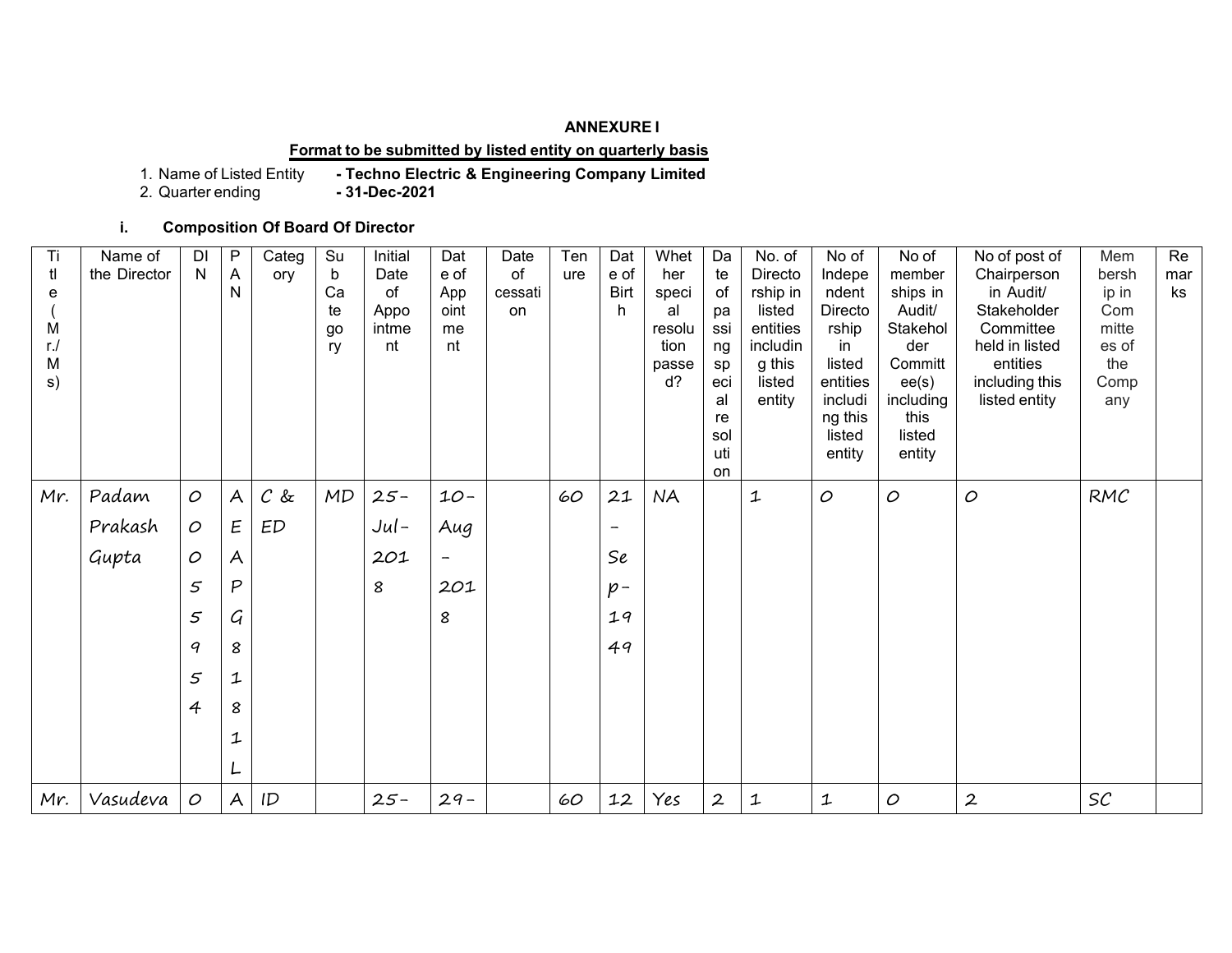## **ANNEXURE I**

## **Format to be submitted by listed entity on quarterly basis**

1. Name of Listed Entity **- Techno Electric & Engineering Company Limited**

2. Quarter ending **- 31-Dec-2021**

**i. Composition Of Board Of Director**

| Ti<br>tl<br>е<br>M<br>$r$ ./<br>M<br>s) | Name of<br>the Director | DI<br>N       | P<br>A<br>N               | Categ<br>ory | Su<br>$\mathbf b$<br>Ca<br>te<br>go<br>ry | Initial<br>Date<br>of<br>Appo<br>intme<br>nt | Dat<br>e of<br>App<br>oint<br>me<br>nt | Date<br>of<br>cessati<br>on | Ten<br>ure | Dat<br>e of<br><b>Birt</b><br>h | Whet<br>her<br>speci<br>al<br>resolu<br>tion<br>passe<br>$d$ ? | Da<br>te<br>of<br>pa<br>ssi<br>ng<br>sp<br>eci<br>al<br>re<br>sol<br>uti<br>on | No. of<br>Directo<br>rship in<br>listed<br>entities<br>includin<br>g this<br>listed<br>entity | No of<br>Indepe<br>ndent<br>Directo<br>rship<br>in<br>listed<br>entities<br>includi<br>ng this<br>listed<br>entity | No of<br>member<br>ships in<br>Audit/<br>Stakehol<br>der<br>Committ<br>ee(s)<br>including<br>this<br>listed<br>entity | No of post of<br>Chairperson<br>in Audit/<br>Stakeholder<br>Committee<br>held in listed<br>entities<br>including this<br>listed entity | Mem<br>bersh<br>ip in<br>Com<br>mitte<br>es of<br>the<br>Comp<br>any | Re<br>mar<br>ks |
|-----------------------------------------|-------------------------|---------------|---------------------------|--------------|-------------------------------------------|----------------------------------------------|----------------------------------------|-----------------------------|------------|---------------------------------|----------------------------------------------------------------|--------------------------------------------------------------------------------|-----------------------------------------------------------------------------------------------|--------------------------------------------------------------------------------------------------------------------|-----------------------------------------------------------------------------------------------------------------------|----------------------------------------------------------------------------------------------------------------------------------------|----------------------------------------------------------------------|-----------------|
| Mr.                                     | Padam                   | $\circ$       | $\mathsf{A}$              | $C$ &        | <b>MD</b>                                 | $25 -$                                       | $10 -$                                 |                             | 60         | 21                              | <b>NA</b>                                                      |                                                                                | 1                                                                                             | $\cal O$                                                                                                           | $\mathcal{O}$                                                                                                         | $\cal O$                                                                                                                               | RMC                                                                  |                 |
|                                         | Prakash                 | $\mathcal{O}$ | Ε                         | ED           |                                           | $Jul-$                                       | Aug                                    |                             |            | $\overline{\phantom{a}}$        |                                                                |                                                                                |                                                                                               |                                                                                                                    |                                                                                                                       |                                                                                                                                        |                                                                      |                 |
|                                         | Gupta                   | $\mathcal{O}$ | $\boldsymbol{\mathsf{A}}$ |              |                                           | 201                                          | $\overline{\phantom{a}}$               |                             |            | Se                              |                                                                |                                                                                |                                                                                               |                                                                                                                    |                                                                                                                       |                                                                                                                                        |                                                                      |                 |
|                                         |                         | 5             | $\boldsymbol{P}$          |              |                                           | 8                                            | 201                                    |                             |            | $p -$                           |                                                                |                                                                                |                                                                                               |                                                                                                                    |                                                                                                                       |                                                                                                                                        |                                                                      |                 |
|                                         |                         | 5             | $\mathcal{G}$             |              |                                           |                                              | 8                                      |                             |            | 19                              |                                                                |                                                                                |                                                                                               |                                                                                                                    |                                                                                                                       |                                                                                                                                        |                                                                      |                 |
|                                         |                         | 9             | 8                         |              |                                           |                                              |                                        |                             |            | 49                              |                                                                |                                                                                |                                                                                               |                                                                                                                    |                                                                                                                       |                                                                                                                                        |                                                                      |                 |
|                                         |                         | 5             | $\mathbf{1}$              |              |                                           |                                              |                                        |                             |            |                                 |                                                                |                                                                                |                                                                                               |                                                                                                                    |                                                                                                                       |                                                                                                                                        |                                                                      |                 |
|                                         |                         | 4             | 8                         |              |                                           |                                              |                                        |                             |            |                                 |                                                                |                                                                                |                                                                                               |                                                                                                                    |                                                                                                                       |                                                                                                                                        |                                                                      |                 |
|                                         |                         |               | $\ensuremath{\mathbf{1}}$ |              |                                           |                                              |                                        |                             |            |                                 |                                                                |                                                                                |                                                                                               |                                                                                                                    |                                                                                                                       |                                                                                                                                        |                                                                      |                 |
|                                         |                         |               | L                         |              |                                           |                                              |                                        |                             |            |                                 |                                                                |                                                                                |                                                                                               |                                                                                                                    |                                                                                                                       |                                                                                                                                        |                                                                      |                 |
| Mr.                                     | Vasudeva                | $\mathcal{O}$ | $\mathsf{A}$              | ID           |                                           | $25 -$                                       | $29 -$                                 |                             | 60         | 12                              | Yes                                                            | $\boldsymbol{2}$                                                               | $\mathbf 1$                                                                                   | 1                                                                                                                  | $\mathcal{O}$                                                                                                         | $\boldsymbol{2}$                                                                                                                       | SC                                                                   |                 |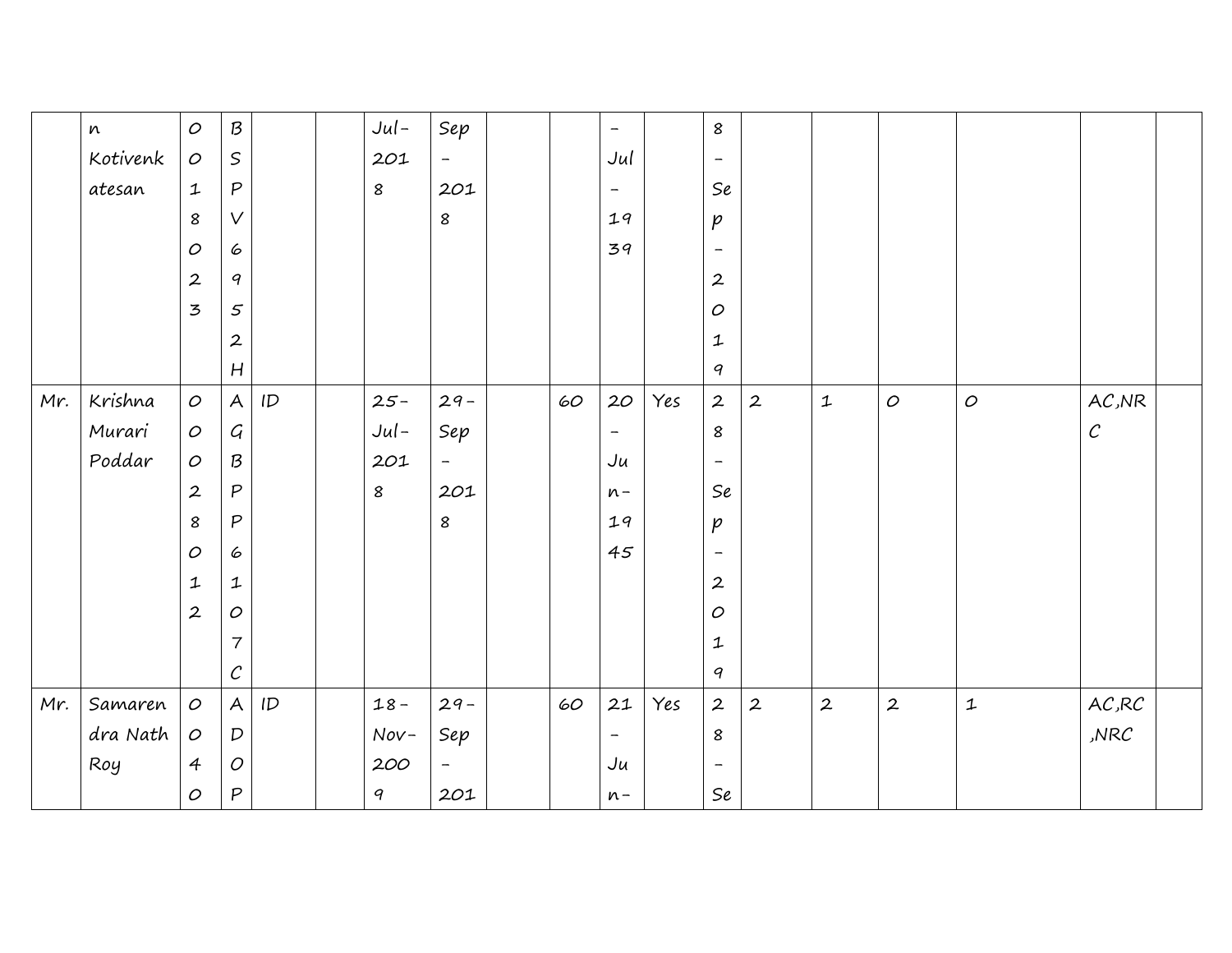|     | $\boldsymbol{n}$ | $\cal O$         | ${\cal B}$                  |               | $Jul-$    | Sep                      |        | $\overline{\phantom{m}}$ |     | 8                           |                  |                           |                  |               |                                 |  |
|-----|------------------|------------------|-----------------------------|---------------|-----------|--------------------------|--------|--------------------------|-----|-----------------------------|------------------|---------------------------|------------------|---------------|---------------------------------|--|
|     | Kotivenk         | $\cal O$         | $\,$ $\!$                   |               | 201       | $\overline{\phantom{a}}$ |        | Jul                      |     | $\overline{\phantom{a}}$    |                  |                           |                  |               |                                 |  |
|     | atesan           | $\mathbf{1}$     | ${\mathsf P}$               |               | $\pmb{8}$ | 201                      |        | $\overline{\phantom{m}}$ |     | Se                          |                  |                           |                  |               |                                 |  |
|     |                  | 8                | V                           |               |           | 8                        |        | 19                       |     | $\mathcal{P}$               |                  |                           |                  |               |                                 |  |
|     |                  | $\cal O$         | 6                           |               |           |                          |        | 39                       |     | $\overline{\phantom{a}}$    |                  |                           |                  |               |                                 |  |
|     |                  | $\boldsymbol{2}$ | $\boldsymbol{q}$            |               |           |                          |        |                          |     | $\boldsymbol{2}$            |                  |                           |                  |               |                                 |  |
|     |                  | 3                | 5                           |               |           |                          |        |                          |     | $\cal O$                    |                  |                           |                  |               |                                 |  |
|     |                  |                  | $\overline{2}$              |               |           |                          |        |                          |     | $\ensuremath{\mathbf{1}}$   |                  |                           |                  |               |                                 |  |
|     |                  |                  | $\boldsymbol{H}$            |               |           |                          |        |                          |     | 9                           |                  |                           |                  |               |                                 |  |
| Mr. | Krishna          | $\cal O$         | $\boldsymbol{\mathsf{A}}$   | $\mathsf{ID}$ | $25 -$    | $29 -$                   | $60\,$ | 20                       | Yes | $\boldsymbol{2}$            | $\boldsymbol{2}$ | $\ensuremath{\mathbf{1}}$ | $\cal O$         | $\cal O$      | $\mathsf{A}\mathcal{C}$ ,<br>NR |  |
|     | Murari           | $\cal O$         | $\mathcal{G}_{\mathcal{A}}$ |               | $Jul-$    | Sep                      |        | $\overline{\phantom{m}}$ |     | $\boldsymbol{8}$            |                  |                           |                  |               | $\mathcal C$                    |  |
|     | Poddar           | 0                | $\mathcal B$                |               | 201       | $\overline{\phantom{a}}$ |        | Ju                       |     | $\overline{\phantom{a}}$    |                  |                           |                  |               |                                 |  |
|     |                  | $\boldsymbol{2}$ | $\mathsf{P}$                |               | 8         | 201                      |        | $n -$                    |     | $\mathcal{S}\boldsymbol{e}$ |                  |                           |                  |               |                                 |  |
|     |                  | 8                | $\mathsf{P}$                |               |           | 8                        |        | 19                       |     | $\mathcal{P}$               |                  |                           |                  |               |                                 |  |
|     |                  | $\cal O$         | 6                           |               |           |                          |        | 45                       |     | $\overline{\phantom{a}}$    |                  |                           |                  |               |                                 |  |
|     |                  | 1                | $\mathbf 1$                 |               |           |                          |        |                          |     | $\boldsymbol{2}$            |                  |                           |                  |               |                                 |  |
|     |                  | $\boldsymbol{2}$ | $\cal O$                    |               |           |                          |        |                          |     | $\cal O$                    |                  |                           |                  |               |                                 |  |
|     |                  |                  | $\overline{\mathcal{L}}$    |               |           |                          |        |                          |     | $\mathbf 1$                 |                  |                           |                  |               |                                 |  |
|     |                  |                  | $\mathcal{C}_{\mathcal{C}}$ |               |           |                          |        |                          |     | $\boldsymbol{q}$            |                  |                           |                  |               |                                 |  |
| Mr. | Samaren          | $\cal O$         | $\boldsymbol{\mathsf{A}}$   | ID            | $18 -$    | $29 -$                   | $60\,$ | 21                       | Yes | $\boldsymbol{2}$            | $\boldsymbol{2}$ | $\boldsymbol{2}$          | $\boldsymbol{2}$ | ${\mathbf 1}$ | $\mathsf{A}\mathcal{C}$ ,RC     |  |
|     | dra Nath         | $\cal O$         | $\boldsymbol{D}$            |               | $Nov-$    | Sep                      |        | $\overline{\phantom{a}}$ |     | $\boldsymbol{8}$            |                  |                           |                  |               | NRC                             |  |
|     | Roy              | $\overline{4}$   | $\cal O$                    |               | 200       | $\overline{\phantom{a}}$ |        | Ju                       |     | $\overline{\phantom{a}}$    |                  |                           |                  |               |                                 |  |
|     |                  | $\cal O$         | P                           |               | 9         | 201                      |        | $n -$                    |     | $\mathcal{S}\boldsymbol{e}$ |                  |                           |                  |               |                                 |  |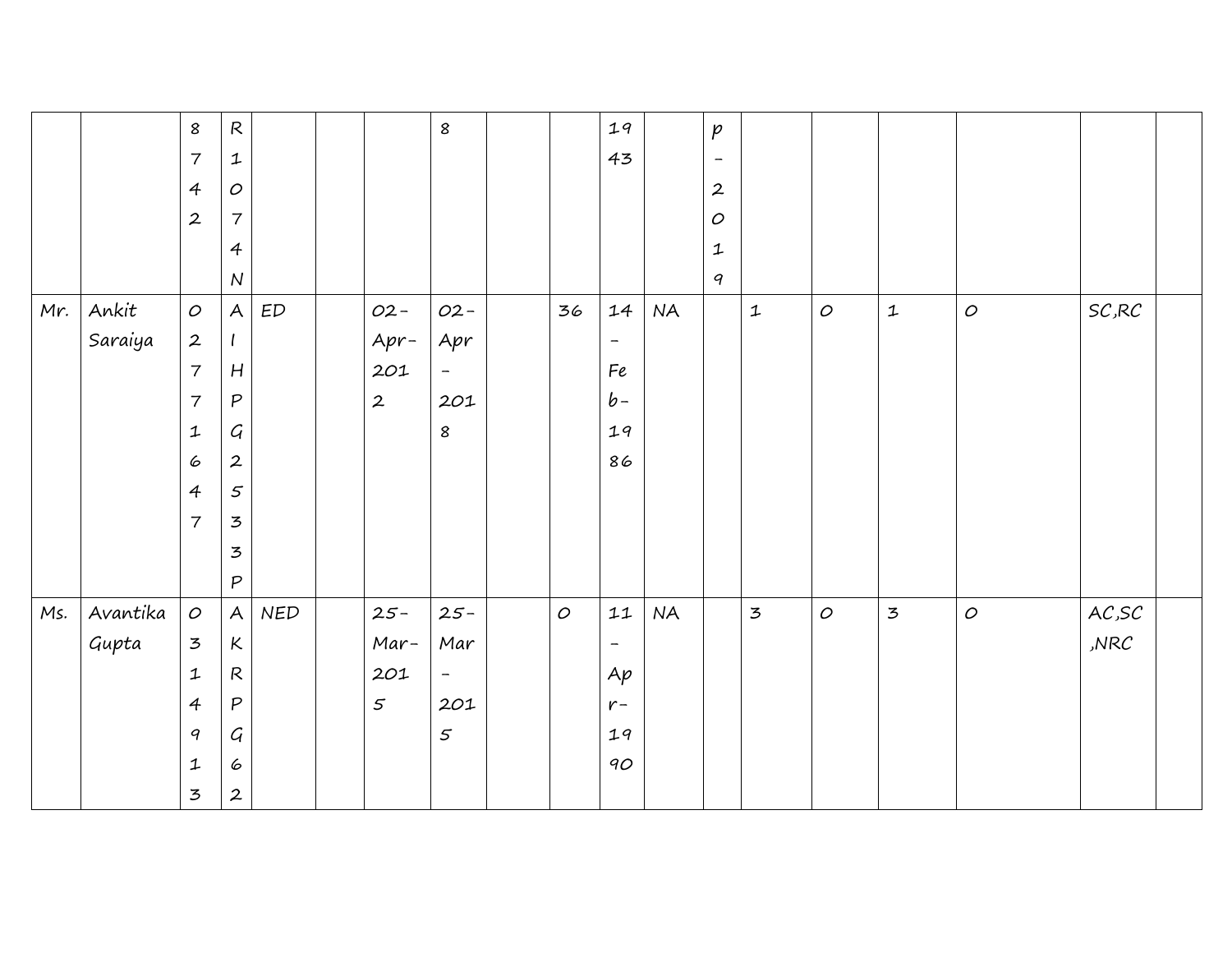|     |          | 8                                           | ${\mathsf R}$             |               |                  | $\pmb{8}$                |          | 19                       |           | $\emph{p}$               |                |          |                |          |                    |  |
|-----|----------|---------------------------------------------|---------------------------|---------------|------------------|--------------------------|----------|--------------------------|-----------|--------------------------|----------------|----------|----------------|----------|--------------------|--|
|     |          | $\overline{\mathcal{I}}$                    | $\ensuremath{\mathbf{1}}$ |               |                  |                          |          | 43                       |           | $\overline{\phantom{a}}$ |                |          |                |          |                    |  |
|     |          | $\overline{A}$                              | $\cal O$                  |               |                  |                          |          |                          |           | $\boldsymbol{2}$         |                |          |                |          |                    |  |
|     |          | $\boldsymbol{2}$                            | $\boldsymbol{7}$          |               |                  |                          |          |                          |           | $\cal O$                 |                |          |                |          |                    |  |
|     |          |                                             | $\overline{4}$            |               |                  |                          |          |                          |           | $\mathbf{1}$             |                |          |                |          |                    |  |
|     |          |                                             | $\overline{N}$            |               |                  |                          |          |                          |           | $\boldsymbol{q}$         |                |          |                |          |                    |  |
| Mr. | Ankit    | $\cal O$                                    | $\boldsymbol{\mathsf{A}}$ | $\textit{ED}$ | $O2 -$           | $O2 -$                   | 36       | 14                       | <b>NA</b> |                          | $\mathbf{1}$   | $\cal O$ | $\mathbf{1}$   | $\cal O$ | $\mathit{SC}$ , RC |  |
|     | Saraiya  | $\boldsymbol{2}$                            | $\mathbf{I}$              |               | $Apr-$           | Apr                      |          | $\overline{\phantom{a}}$ |           |                          |                |          |                |          |                    |  |
|     |          | $\overline{7}$                              | $\boldsymbol{H}$          |               | 201              | $\overline{\phantom{a}}$ |          | Fe                       |           |                          |                |          |                |          |                    |  |
|     |          | $\overline{7}$                              | $\boldsymbol{P}$          |               | $\boldsymbol{2}$ | 201                      |          | $b -$                    |           |                          |                |          |                |          |                    |  |
|     |          | $\ensuremath{\mathbf{1}}$                   | $\cal G$                  |               |                  | 8                        |          | 19                       |           |                          |                |          |                |          |                    |  |
|     |          | 6                                           | $\boldsymbol{2}$          |               |                  |                          |          | 86                       |           |                          |                |          |                |          |                    |  |
|     |          | $\overline{4}$                              | 5                         |               |                  |                          |          |                          |           |                          |                |          |                |          |                    |  |
|     |          | $\overline{7}$                              | $\overline{5}$            |               |                  |                          |          |                          |           |                          |                |          |                |          |                    |  |
|     |          |                                             | 3                         |               |                  |                          |          |                          |           |                          |                |          |                |          |                    |  |
|     |          |                                             | $\boldsymbol{P}$          |               |                  |                          |          |                          |           |                          |                |          |                |          |                    |  |
| Ms. | Avantika | $\cal O$                                    | $\overline{\mathsf{A}}$   | NED           | $25 -$           | $25 -$                   | $\cal O$ | 11                       | <b>NA</b> |                          | $\overline{5}$ | $\cal O$ | $\mathfrak{Z}$ | $\cal O$ | AC,SC              |  |
|     | Gupta    | $\mathfrak{Z}$                              | $\kappa$                  |               | Mar-             | Mar                      |          | $\overline{\phantom{a}}$ |           |                          |                |          |                |          | NRC                |  |
|     |          | $\ensuremath{\mathop{\mathbf{1}}\nolimits}$ | ${\mathsf R}$             |               | 201              | $\overline{\phantom{a}}$ |          | Ap                       |           |                          |                |          |                |          |                    |  |
|     |          | $\overline{4}$                              | $\boldsymbol{P}$          |               | $\varsigma$      | 201                      |          | $r-$                     |           |                          |                |          |                |          |                    |  |
|     |          | 9                                           | $\mathcal{G}$             |               |                  | 5                        |          | 19                       |           |                          |                |          |                |          |                    |  |
|     |          | $\ensuremath{\mathbf{1}}$                   | $\pmb{\mathcal{C}}$       |               |                  |                          |          | 90                       |           |                          |                |          |                |          |                    |  |
|     |          | 3                                           | $\boldsymbol{2}$          |               |                  |                          |          |                          |           |                          |                |          |                |          |                    |  |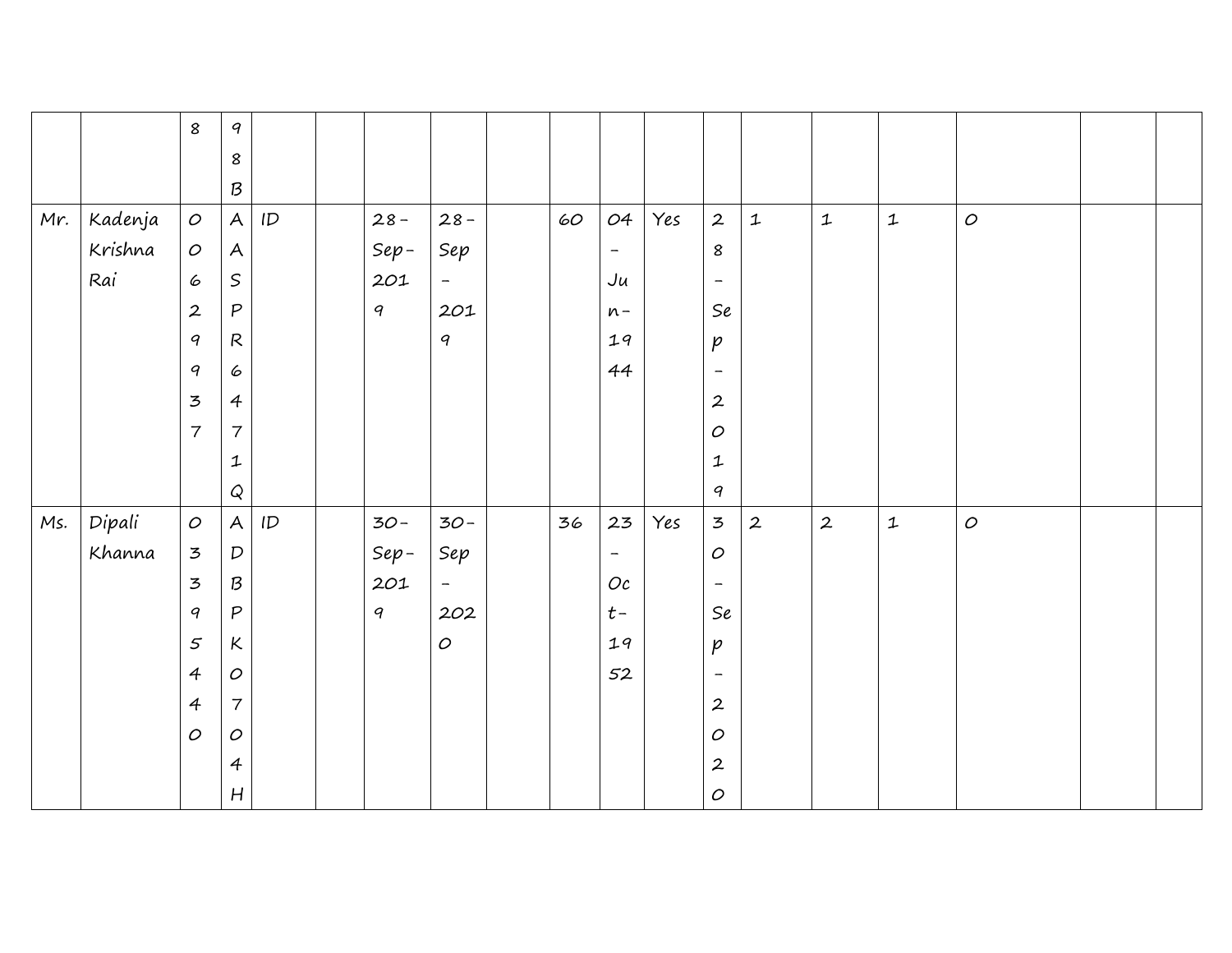|     |         | $\boldsymbol{8}$ | $\boldsymbol{q}$          |               |        |                          |        |                          |     |                             |              |                  |              |          |  |
|-----|---------|------------------|---------------------------|---------------|--------|--------------------------|--------|--------------------------|-----|-----------------------------|--------------|------------------|--------------|----------|--|
|     |         |                  | $\pmb{8}$                 |               |        |                          |        |                          |     |                             |              |                  |              |          |  |
|     |         |                  | $\mathcal B$              |               |        |                          |        |                          |     |                             |              |                  |              |          |  |
| Mr. | Kadenja | $\cal O$         | $\mathsf{A}$              | $\mathsf{ID}$ | $28 -$ | $28 -$                   | $60\,$ | 04                       | Yes | $\overline{2}$              | $\mathbf 1$  | ${\mathbf 1}$    | $\mathbf 1$  | $\cal O$ |  |
|     | Krishna | $\cal O$         | $\boldsymbol{\mathsf{A}}$ |               | $Sep-$ | Sep                      |        | $\overline{\phantom{a}}$ |     | 8                           |              |                  |              |          |  |
|     | Rai     | 6                | $\,$ $\,$                 |               | 201    | $\rightarrow$            |        | Ju                       |     | $\overline{\phantom{m}}$    |              |                  |              |          |  |
|     |         | $\overline{2}$   | ${\mathsf P}$             |               | 9      | 201                      |        | $n -$                    |     | $\mathcal{S}\boldsymbol{e}$ |              |                  |              |          |  |
|     |         | 9                | $\mathsf{R}$              |               |        | $\boldsymbol{q}$         |        | 19                       |     | $\emph{p}$                  |              |                  |              |          |  |
|     |         | $\boldsymbol{q}$ | 6                         |               |        |                          |        | 44                       |     | $\overline{\phantom{a}}$    |              |                  |              |          |  |
|     |         | $\overline{5}$   | $\overline{4}$            |               |        |                          |        |                          |     | $\boldsymbol{2}$            |              |                  |              |          |  |
|     |         | $\overline{7}$   | $\overline{7}$            |               |        |                          |        |                          |     | $\cal O$                    |              |                  |              |          |  |
|     |         |                  | $\mathbf{1}$              |               |        |                          |        |                          |     | ${\mathbf 1}$               |              |                  |              |          |  |
|     |         |                  | $\pmb{\mathsf{Q}}$        |               |        |                          |        |                          |     | $\boldsymbol{q}$            |              |                  |              |          |  |
| Ms. | Dipali  | $\cal O$         | $\mathsf{A}$              | ID            | $30-$  | $30-$                    | 36     | 23                       | Yes | $\overline{3}$              | $\mathbf{2}$ | $\boldsymbol{2}$ | $\mathbf{1}$ | $\cal O$ |  |
|     | Khanna  | 3                | ${\cal D}$                |               | $Sep-$ | Sep                      |        | $\overline{\phantom{a}}$ |     | $\cal O$                    |              |                  |              |          |  |
|     |         | 3                | ${\cal B}$                |               | 201    | $\overline{\phantom{a}}$ |        | Oc                       |     | $\overline{\phantom{a}}$    |              |                  |              |          |  |
|     |         | $\boldsymbol{q}$ | $\boldsymbol{P}$          |               | 9      | 202                      |        | $t-$                     |     | $\mathcal{S}\boldsymbol{e}$ |              |                  |              |          |  |
|     |         | 5                | $\kappa$                  |               |        | $\cal O$                 |        | 19                       |     | $\emph{p}$                  |              |                  |              |          |  |
|     |         | $\overline{4}$   | $\cal O$                  |               |        |                          |        | 52                       |     | $\overline{\phantom{a}}$    |              |                  |              |          |  |
|     |         | $\overline{4}$   | $\overline{\mathbf{7}}$   |               |        |                          |        |                          |     | $\boldsymbol{2}$            |              |                  |              |          |  |
|     |         | $\mathcal{O}$    | $\cal O$                  |               |        |                          |        |                          |     | $\cal O$                    |              |                  |              |          |  |
|     |         |                  | $\overline{4}$            |               |        |                          |        |                          |     | $\boldsymbol{2}$            |              |                  |              |          |  |
|     |         |                  | H                         |               |        |                          |        |                          |     | $\cal O$                    |              |                  |              |          |  |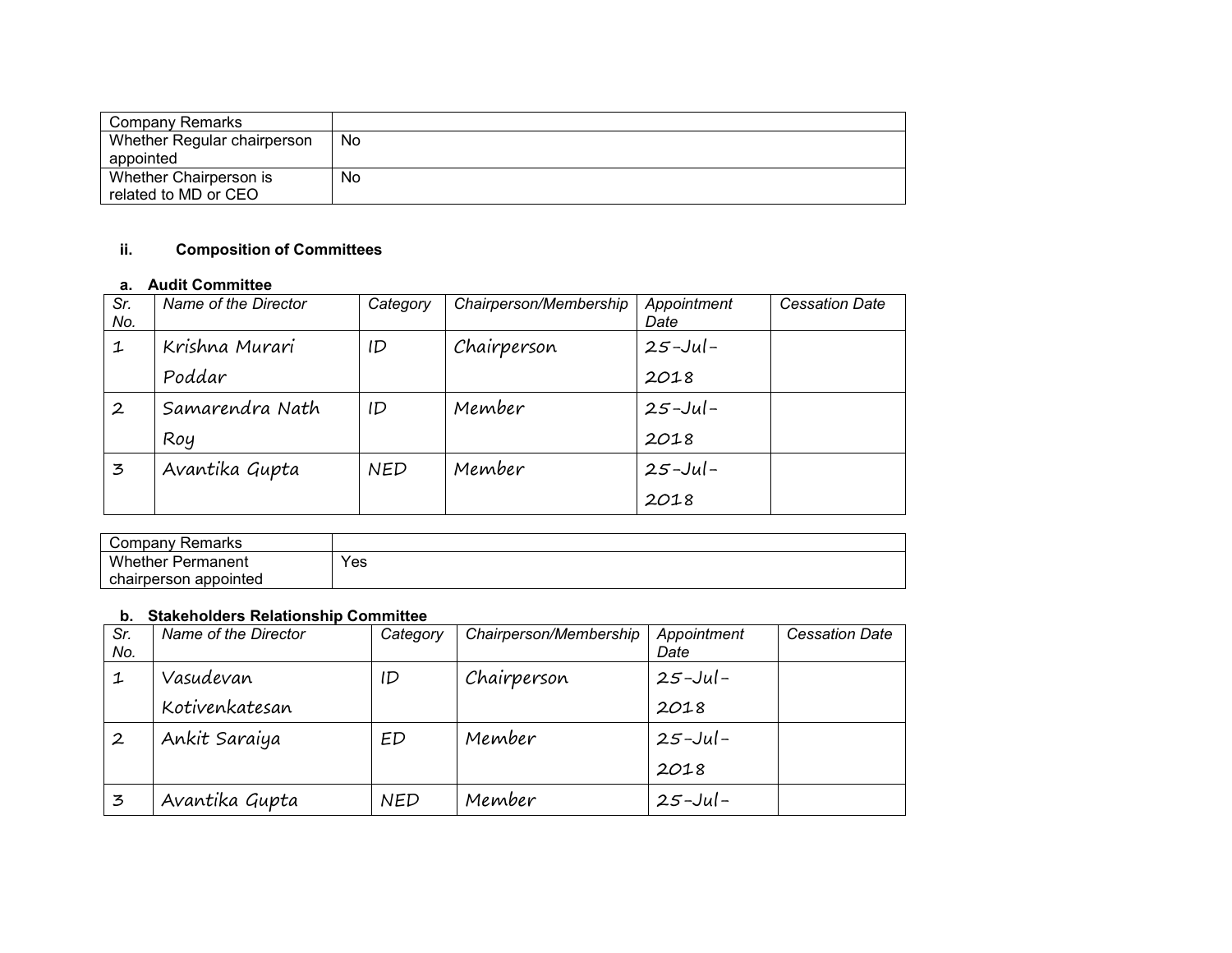| Company Remarks             |     |
|-----------------------------|-----|
| Whether Regular chairperson | No. |
| appointed                   |     |
| Whether Chairperson is      | No  |
| related to MD or CEO        |     |

# **ii. Composition of Committees**

#### **a. Audit Committee**

| Sr.<br>No.       | Name of the Director | Category   | Chairperson/Membership | Appointment<br>Date | <b>Cessation Date</b> |
|------------------|----------------------|------------|------------------------|---------------------|-----------------------|
| 1                | Krishna Murari       | ID         | Chairperson            | $25 -$ Jul –        |                       |
|                  | Poddar               |            |                        | 2018                |                       |
| $\boldsymbol{2}$ | Samarendra Nath      | ID         | Member                 | $25 -$ Jul –        |                       |
|                  | Roy                  |            |                        | 2018                |                       |
| 3                | Avantika Gupta       | <b>NED</b> | Member                 | $25 -$ Jul –        |                       |
|                  |                      |            |                        | 2018                |                       |

| ∵ompany ت<br>Remarks     |     |
|--------------------------|-----|
| Whether,<br>Permanent    | Yes |
| appointed<br>chairperson |     |

## **b. Stakeholders Relationship Committee**

| Sr.<br>No. | Name of the Director | Category   | Chairperson/Membership | Appointment<br>Date | <b>Cessation Date</b> |
|------------|----------------------|------------|------------------------|---------------------|-----------------------|
| 1          | Vasudevan            | ID         | Chairperson            | $25 -$ Jul –        |                       |
|            | Kotivenkatesan       |            |                        | 2018                |                       |
|            | Ankit Saraiya        | ED         | Member                 | $25 -$ Jul –        |                       |
|            |                      |            |                        | 2018                |                       |
| 3          | Avantika Gupta       | <b>NED</b> | Member                 | $25 - J$ ul –       |                       |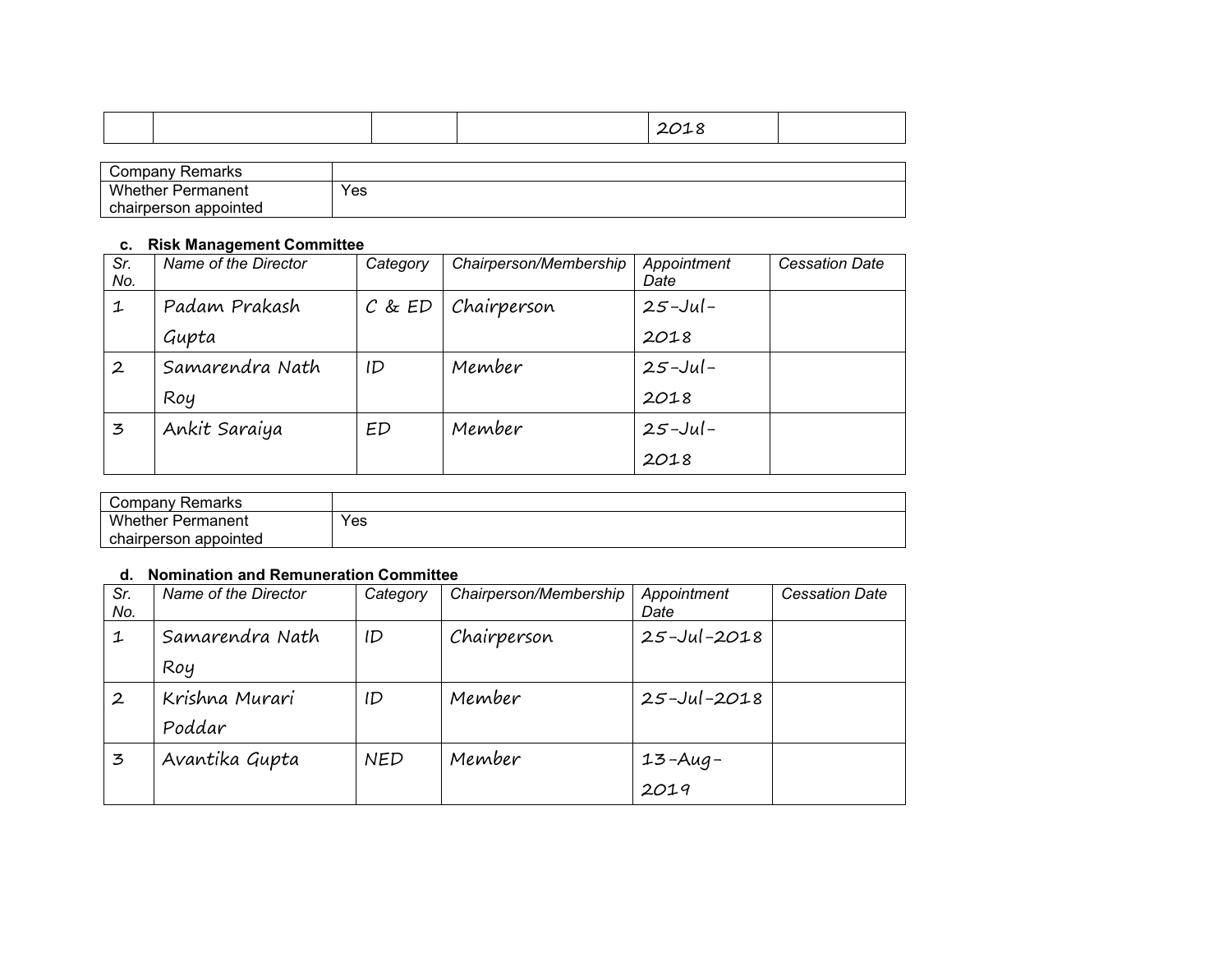|--|

| ∵ompany<br>Remarks       |     |
|--------------------------|-----|
| <b>Whether Permanent</b> | Yes |
| chairperson appointed    |     |

#### **c. Risk Management Committee**

| Sr.<br>No.       | Name of the Director | Category   | Chairperson/Membership | Appointment<br>Date | <b>Cessation Date</b> |
|------------------|----------------------|------------|------------------------|---------------------|-----------------------|
| 1                | Padam Prakash        | $C$ & $ED$ | Chairperson            | $25 -$ Jul-         |                       |
|                  | Gupta                |            |                        | 2018                |                       |
| $\boldsymbol{2}$ | Samarendra Nath      | ID         | Member                 | $25 -$ Jul-         |                       |
|                  | Roy                  |            |                        | 2018                |                       |
| 3                | Ankit Saraiya        | ED         | Member                 | $25 -$ Jul-         |                       |
|                  |                      |            |                        | 2018                |                       |

| <b>Remarks</b><br>Compan∨ |     |
|---------------------------|-----|
| <b>Whether Permanent</b>  | Yes |
| chairperson appointed     |     |

### **d. Nomination and Remuneration Committee**

| Sr.<br>No.       | Name of the Director | Category   | Chairperson/Membership | Appointment<br>Date | <b>Cessation Date</b> |
|------------------|----------------------|------------|------------------------|---------------------|-----------------------|
| 1                | Samarendra Nath      | ID         | Chairperson            | $25 - Jul - 2018$   |                       |
|                  | Roy                  |            |                        |                     |                       |
| $\boldsymbol{2}$ | Krishna Murari       | ID         | Member                 | $25 - Jul - 2018$   |                       |
|                  | Poddar               |            |                        |                     |                       |
| 3                | Avantika Gupta       | <b>NED</b> | Member                 | 13-Aug-             |                       |
|                  |                      |            |                        | 2019                |                       |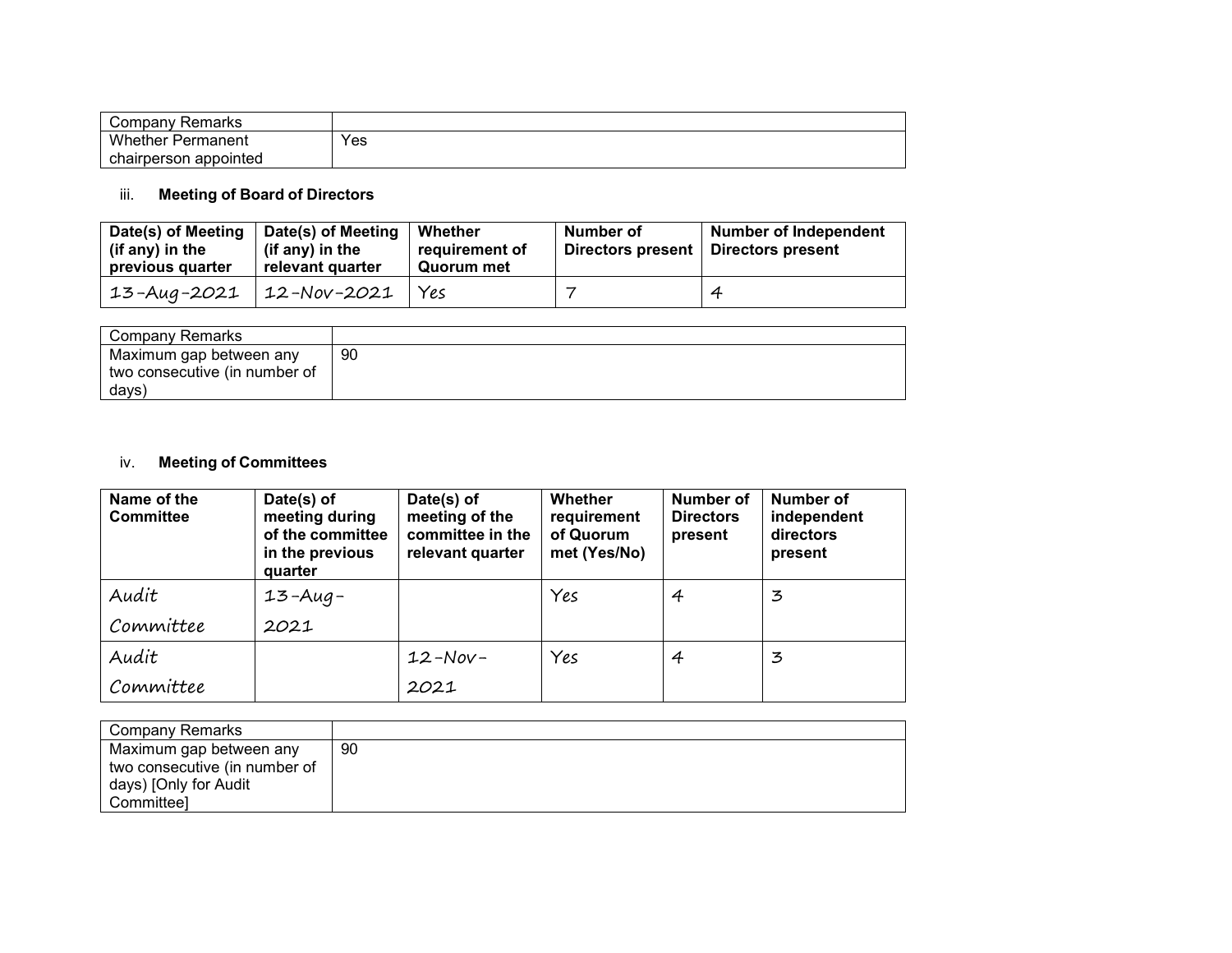| ∵ompany<br>Remarks       |     |
|--------------------------|-----|
| <b>Whether Permanent</b> | Yes |
| chairperson appointed    |     |

# iii. **Meeting of Board of Directors**

| Date(s) of Meeting<br>(if any) in the<br>previous quarter | Date(s) of Meeting<br>(if any) in the<br>relevant quarter | Whether<br>requirement of<br>Quorum met | Number of<br>Directors present | <b>Number of Independent</b><br>Directors present |
|-----------------------------------------------------------|-----------------------------------------------------------|-----------------------------------------|--------------------------------|---------------------------------------------------|
| $13 - \text{Aug} - 2021$                                  | $12 - Nov-2021$                                           | Yes                                     |                                | 4                                                 |

| Company Remarks               |    |
|-------------------------------|----|
| Maximum gap between any       | 90 |
| two consecutive (in number of |    |
| days)                         |    |

# iv. **Meeting of Committees**

| Name of the<br><b>Committee</b> | Date(s) of<br>meeting during<br>of the committee<br>in the previous<br>quarter | Date(s) of<br>meeting of the<br>committee in the<br>relevant quarter | Whether<br>requirement<br>of Quorum<br>met (Yes/No) | <b>Number of</b><br><b>Directors</b><br>present | Number of<br>independent<br>directors<br>present |
|---------------------------------|--------------------------------------------------------------------------------|----------------------------------------------------------------------|-----------------------------------------------------|-------------------------------------------------|--------------------------------------------------|
| Audit                           | $13 - Aug -$                                                                   |                                                                      | Yes                                                 | 4                                               | 3                                                |
| Committee                       | 2021                                                                           |                                                                      |                                                     |                                                 |                                                  |
| Audit                           |                                                                                | $12-Nov-$                                                            | Yes                                                 | 4                                               | 3                                                |
| Committee                       |                                                                                | 2021                                                                 |                                                     |                                                 |                                                  |

| Company Remarks               |     |
|-------------------------------|-----|
| Maximum gap between any       | -90 |
| two consecutive (in number of |     |
| days) [Only for Audit         |     |
| Committeel                    |     |